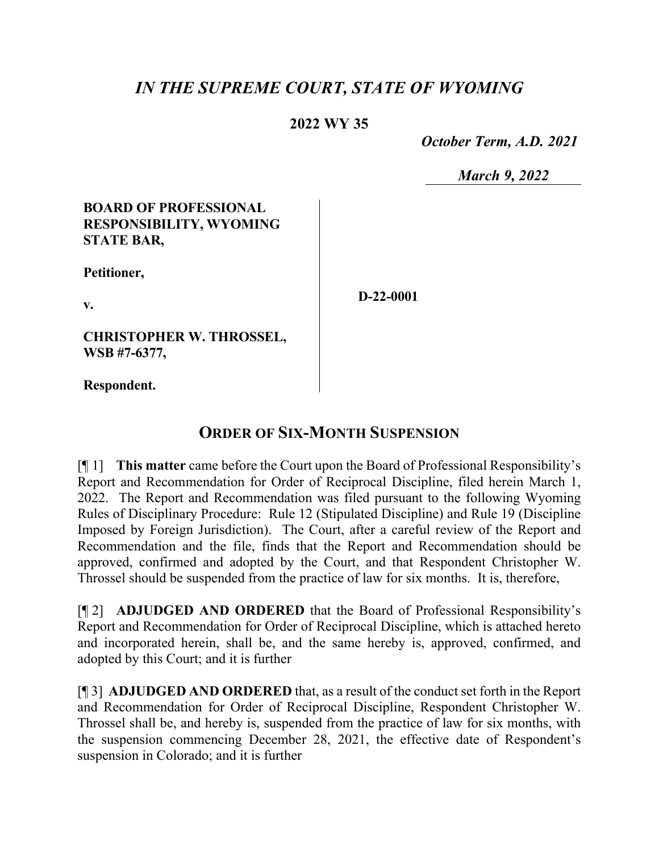## *IN THE SUPREME COURT, STATE OF WYOMING*

## **2022 WY 35**

 *October Term, A.D. 2021*

*March 9, 2022*

### **BOARD OF PROFESSIONAL RESPONSIBILITY, WYOMING STATE BAR,**

**Petitioner,**

**v.**

**CHRISTOPHER W. THROSSEL, WSB #7-6377,**

**Respondent.**

**ORDER OF SIX-MONTH SUSPENSION**

[¶ 1] **This matter** came before the Court upon the Board of Professional Responsibility's Report and Recommendation for Order of Reciprocal Discipline, filed herein March 1, 2022. The Report and Recommendation was filed pursuant to the following Wyoming Rules of Disciplinary Procedure: Rule 12 (Stipulated Discipline) and Rule 19 (Discipline Imposed by Foreign Jurisdiction). The Court, after a careful review of the Report and Recommendation and the file, finds that the Report and Recommendation should be approved, confirmed and adopted by the Court, and that Respondent Christopher W. Throssel should be suspended from the practice of law for six months. It is, therefore,

[¶ 2] **ADJUDGED AND ORDERED** that the Board of Professional Responsibility's Report and Recommendation for Order of Reciprocal Discipline, which is attached hereto and incorporated herein, shall be, and the same hereby is, approved, confirmed, and adopted by this Court; and it is further

[¶ 3] **ADJUDGED AND ORDERED** that, as a result of the conduct set forth in the Report and Recommendation for Order of Reciprocal Discipline, Respondent Christopher W. Throssel shall be, and hereby is, suspended from the practice of law for six months, with the suspension commencing December 28, 2021, the effective date of Respondent's suspension in Colorado; and it is further

**D-22-0001**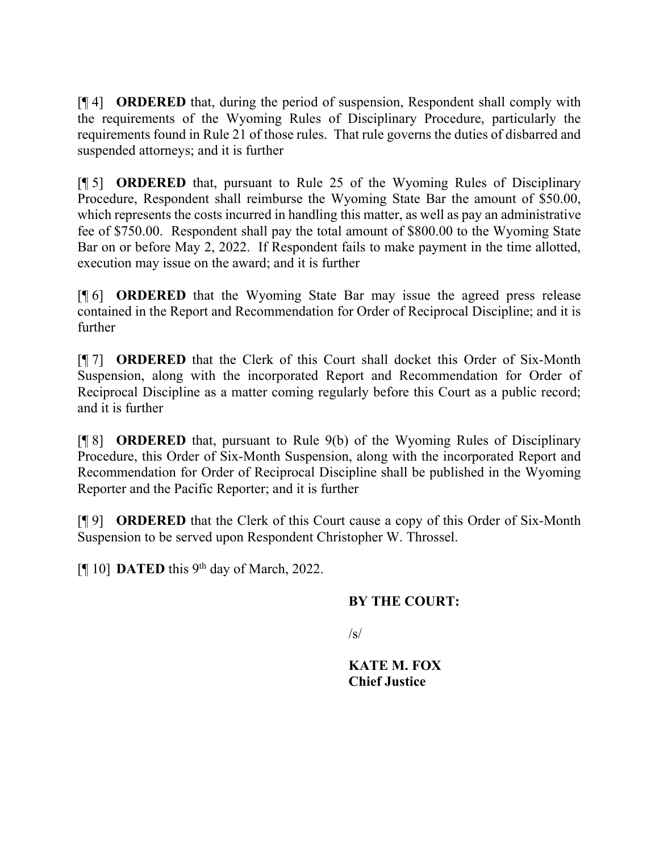[¶ 4] **ORDERED** that, during the period of suspension, Respondent shall comply with the requirements of the Wyoming Rules of Disciplinary Procedure, particularly the requirements found in Rule 21 of those rules. That rule governs the duties of disbarred and suspended attorneys; and it is further

[¶ 5] **ORDERED** that, pursuant to Rule 25 of the Wyoming Rules of Disciplinary Procedure, Respondent shall reimburse the Wyoming State Bar the amount of \$50.00, which represents the costs incurred in handling this matter, as well as pay an administrative fee of \$750.00. Respondent shall pay the total amount of \$800.00 to the Wyoming State Bar on or before May 2, 2022. If Respondent fails to make payment in the time allotted, execution may issue on the award; and it is further

[¶ 6] **ORDERED** that the Wyoming State Bar may issue the agreed press release contained in the Report and Recommendation for Order of Reciprocal Discipline; and it is further

[¶ 7] **ORDERED** that the Clerk of this Court shall docket this Order of Six-Month Suspension, along with the incorporated Report and Recommendation for Order of Reciprocal Discipline as a matter coming regularly before this Court as a public record; and it is further

[¶ 8] **ORDERED** that, pursuant to Rule 9(b) of the Wyoming Rules of Disciplinary Procedure, this Order of Six-Month Suspension, along with the incorporated Report and Recommendation for Order of Reciprocal Discipline shall be published in the Wyoming Reporter and the Pacific Reporter; and it is further

[¶ 9] **ORDERED** that the Clerk of this Court cause a copy of this Order of Six-Month Suspension to be served upon Respondent Christopher W. Throssel.

[¶ 10] **DATED** this 9<sup>th</sup> day of March, 2022.

## **BY THE COURT:**

 $\sqrt{s}$ 

**KATE M. FOX Chief Justice**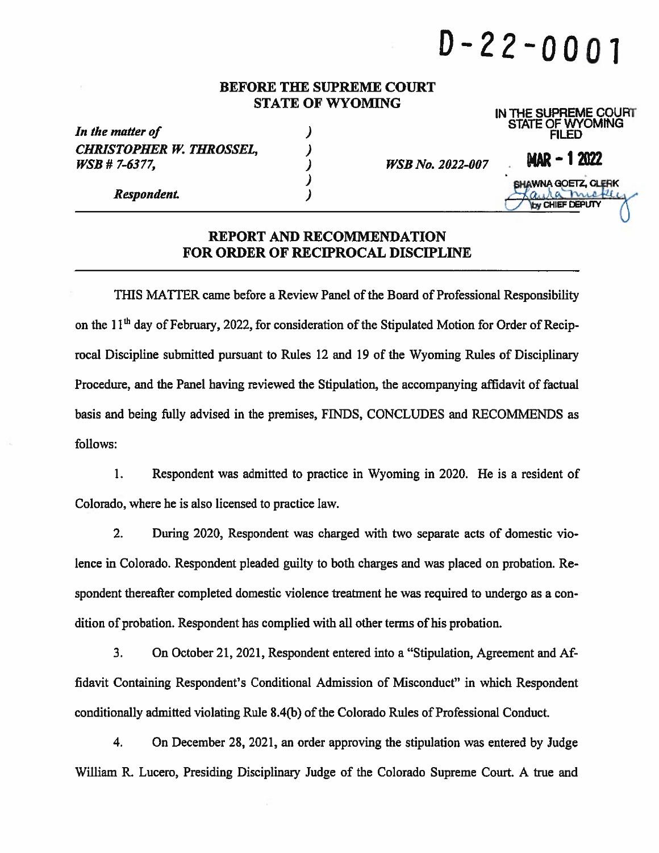# $D - 22 - 0001$

IN THE SUPREME COURT

#### **BEFORE THE SUPREME COURT STATE OF WYOMING**

| In the matter of                                        |                         | <b>STATE OF WYOMING</b><br><b>FILED</b>               |  |
|---------------------------------------------------------|-------------------------|-------------------------------------------------------|--|
| <b>CHRISTOPHER W. THROSSEL,</b><br><i>WSB</i> # 7-6377, | <b>WSB No. 2022-007</b> | $MAR - 12022$                                         |  |
| Respondent.                                             |                         | <b>SHAWNA GOETZ, CLERK</b><br><b>YOU CHIEF DEPUTY</b> |  |
|                                                         |                         |                                                       |  |

#### **REPORT AND RECOMMENDATION FOR ORDER OF RECIPROCAL DISCIPLINE**

THIS MATTER came before a Review Panel of the Board of Professional Responsibility on the 11<sup>th</sup> day of February, 2022, for consideration of the Stipulated Motion for Order of Reciprocal Discipline submitted pursuant to Rules 12 and 19 of the Wyoming Rules of Disciplinary Procedure, and the Panel having reviewed the Stipulation, the accompanying affidavit of factual basis and being fully advised in the premises, FINDS, CONCLUDES and RECOMMENDS as follows:

 $\mathbf{1}$ . Respondent was admitted to practice in Wyoming in 2020. He is a resident of Colorado, where he is also licensed to practice law.

 $2.$ During 2020, Respondent was charged with two separate acts of domestic violence in Colorado. Respondent pleaded guilty to both charges and was placed on probation. Respondent thereafter completed domestic violence treatment he was required to undergo as a condition of probation. Respondent has complied with all other terms of his probation.

3. On October 21, 2021, Respondent entered into a "Stipulation, Agreement and Affidavit Containing Respondent's Conditional Admission of Misconduct" in which Respondent conditionally admitted violating Rule 8.4(b) of the Colorado Rules of Professional Conduct.

 $4.$ On December 28, 2021, an order approving the stipulation was entered by Judge William R. Lucero, Presiding Disciplinary Judge of the Colorado Supreme Court. A true and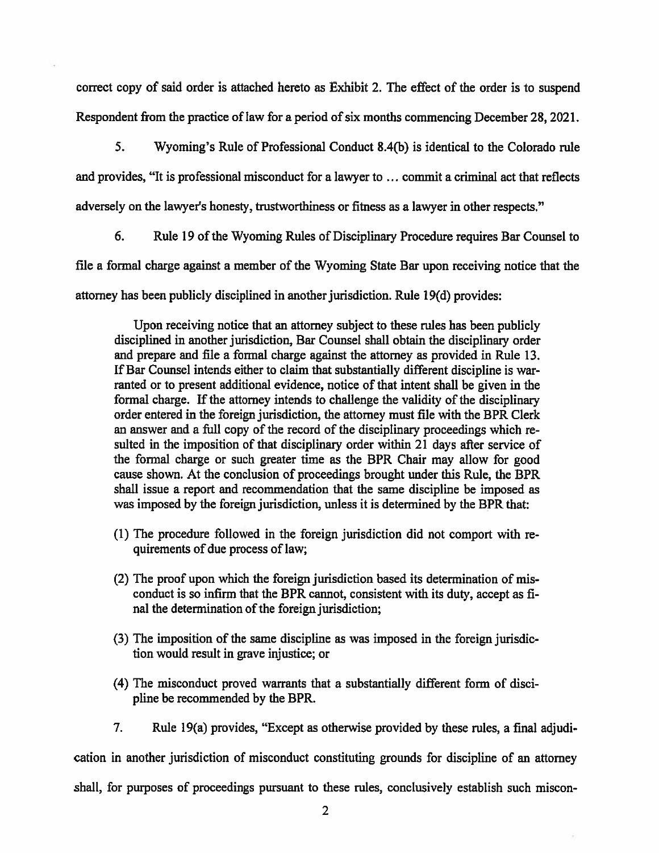correct copy of said order is attached hereto as Exhibit 2. The effect of the order is to suspend Respondent from the practice of law for a period of six months commencing December 28, 2021.

5. Wyoming's Rule of Professional Conduct 8.4(b) is identical to the Colorado rule and provides, "It is professional misconduct for a lawyer to ... commit a criminal act that reflects adversely on the lawyer's honesty, trustworthiness or fitness as a lawyer in other respects."

6. Rule 19 of the Wyoming Rules of Disciplinary Procedure requires Bar Counsel to

file a formal charge against a member of the Wyoming State Bar upon receiving notice that the

attorney has been publicly disciplined in another jurisdiction. Rule 19(d) provides:

Upon receiving notice that an attorney subject to these rules has been publicly disciplined in another jurisdiction, Bar Counsel shall obtain the disciplinary order and prepare and file a formal charge against the attorney as provided in Rule 13. If Bar Counsel intends either to claim that substantially different discipline is warranted or to present additional evidence, notice of that intent shall be given in the formal charge. If the attorney intends to challenge the validity of the disciplinary order entered in the foreign jurisdiction, the attorney must file with the BPR Clerk an answer and a full copy of the record of the disciplinary proceedings which resulted in the imposition of that disciplinary order within 21 days after service of the formal charge or such greater time as the BPR Chair may allow for good cause shown. At the conclusion of proceedings brought under this Rule, the BPR shall issue a report and recommendation that the same discipline be imposed as was imposed by the foreign jurisdiction, unless it is determined by the BPR that:

- (1) The procedure followed in the foreign jurisdiction did not comport with requirements of due process of law;
- (2) The proof upon which the foreign jurisdiction based its determination of misconduct is so infirm that the BPR cannot, consistent with its duty, accept as final the determination of the foreign jurisdiction;
- (3) The imposition of the same discipline as was imposed in the foreign jurisdiction would result in grave injustice; or
- (4) The misconduct proved warrants that a substantially different form of discipline be recommended by the BPR.
- $7<sub>1</sub>$ Rule 19(a) provides, "Except as otherwise provided by these rules, a final adjudi-

cation in another jurisdiction of misconduct constituting grounds for discipline of an attorney

shall, for purposes of proceedings pursuant to these rules, conclusively establish such miscon-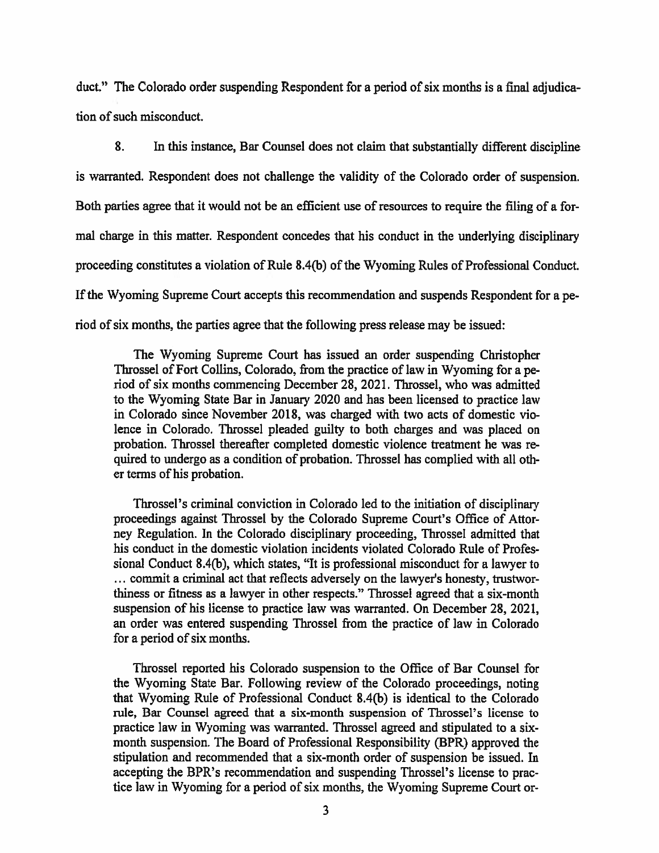duct." The Colorado order suspending Respondent for a period of six months is a final adjudication of such misconduct.

8. In this instance, Bar Counsel does not claim that substantially different discipline is warranted. Respondent does not challenge the validity of the Colorado order of suspension. Both parties agree that it would not be an efficient use of resources to require the filing of a formal charge in this matter. Respondent concedes that his conduct in the underlying disciplinary proceeding constitutes a violation of Rule 8.4(b) of the Wyoming Rules of Professional Conduct. If the Wyoming Supreme Court accepts this recommendation and suspends Respondent for a period of six months, the parties agree that the following press release may be issued:

The Wyoming Supreme Court has issued an order suspending Christopher Throssel of Fort Collins, Colorado, from the practice of law in Wyoming for a period of six months commencing December 28, 2021. Throssel, who was admitted to the Wyoming State Bar in January 2020 and has been licensed to practice law in Colorado since November 2018, was charged with two acts of domestic violence in Colorado. Throssel pleaded guilty to both charges and was placed on probation. Throssel thereafter completed domestic violence treatment he was required to undergo as a condition of probation. Throssel has complied with all other terms of his probation.

Throssel's criminal conviction in Colorado led to the initiation of disciplinary proceedings against Throssel by the Colorado Supreme Court's Office of Attorney Regulation. In the Colorado disciplinary proceeding, Throssel admitted that his conduct in the domestic violation incidents violated Colorado Rule of Professional Conduct 8.4(b), which states, "It is professional misconduct for a lawyer to ... commit a criminal act that reflects adversely on the lawyer's honesty, trustworthiness or fitness as a lawyer in other respects." Throssel agreed that a six-month suspension of his license to practice law was warranted. On December 28, 2021, an order was entered suspending Throssel from the practice of law in Colorado for a period of six months.

Throssel reported his Colorado suspension to the Office of Bar Counsel for the Wyoming State Bar. Following review of the Colorado proceedings, noting that Wyoming Rule of Professional Conduct 8.4(b) is identical to the Colorado rule, Bar Counsel agreed that a six-month suspension of Throssel's license to practice law in Wyoming was warranted. Throssel agreed and stipulated to a sixmonth suspension. The Board of Professional Responsibility (BPR) approved the stipulation and recommended that a six-month order of suspension be issued. In accepting the BPR's recommendation and suspending Throssel's license to practice law in Wyoming for a period of six months, the Wyoming Supreme Court or